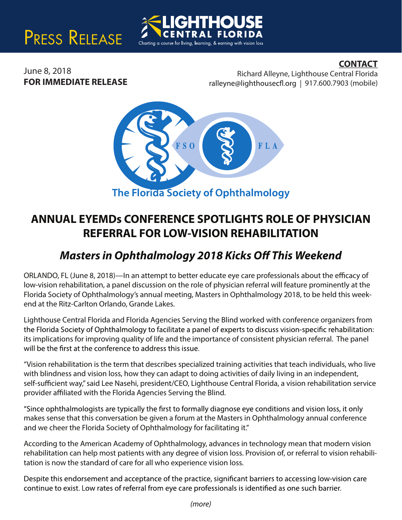# PRESS RELEASE

### **CONTACT**

June 8, 2018 **FOR IMMEDIATE RELEASE**

Richard Alleyne, Lighthouse Central Florida ralleyne@lighthousecfl.org | 917.600.7903 (mobile)



Charting a course for living, learning, & earning with vision loss

**ANNUAL EYEMDs CONFERENCE SPOTLIGHTS ROLE OF PHYSICIAN REFERRAL FOR LOW-VISION REHABILITATION**

## *Masters in Ophthalmology 2018 Kicks Off This Weekend*

ORLANDO, FL (June 8, 2018)—In an attempt to better educate eye care professionals about the efficacy of low-vision rehabilitation, a panel discussion on the role of physician referral will feature prominently at the Florida Society of Ophthalmology's annual meeting, Masters in Ophthalmology 2018, to be held this weekend at the Ritz-Carlton Orlando, Grande Lakes.

Lighthouse Central Florida and Florida Agencies Serving the Blind worked with conference organizers from the Florida Society of Ophthalmology to facilitate a panel of experts to discuss vision-specific rehabilitation: its implications for improving quality of life and the importance of consistent physician referral. The panel will be the first at the conference to address this issue.

"Vision rehabilitation is the term that describes specialized training activities that teach individuals, who live with blindness and vision loss, how they can adapt to doing activities of daily living in an independent, self-sufficient way," said Lee Nasehi, president/CEO, Lighthouse Central Florida, a vision rehabilitation service provider affiliated with the Florida Agencies Serving the Blind.

"Since ophthalmologists are typically the first to formally diagnose eye conditions and vision loss, it only makes sense that this conversation be given a forum at the Masters in Ophthalmology annual conference and we cheer the Florida Society of Ophthalmology for facilitating it."

According to the American Academy of Ophthalmology, advances in technology mean that modern vision rehabilitation can help most patients with any degree of vision loss. Provision of, or referral to vision rehabilitation is now the standard of care for all who experience vision loss.

Despite this endorsement and acceptance of the practice, significant barriers to accessing low-vision care continue to exist. Low rates of referral from eye care professionals is identified as one such barrier.